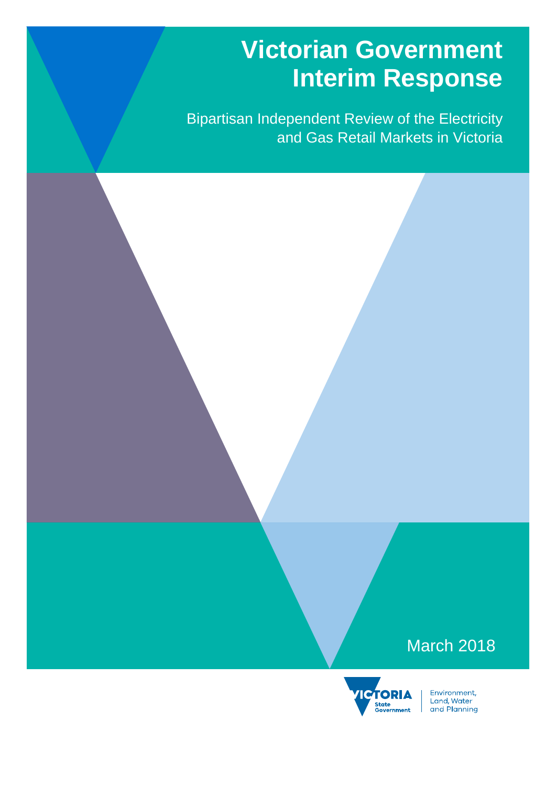# **Victorian Government Interim Response**

Bipartisan Independent Review of the Electricity and Gas Retail Markets in Victoria

## March 2018

2018December



Environment,<br>Land, Water<br>and Planning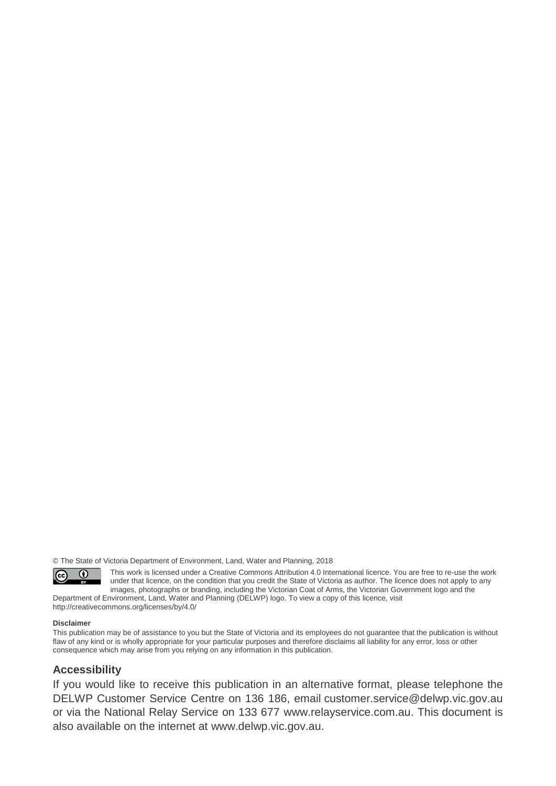© The State of Victoria Department of Environment, Land, Water and Planning, 2018



This work is licensed under a Creative Commons Attribution 4.0 International licence. You are free to re-use the work under that licence, on the condition that you credit the State of Victoria as author. The licence does not apply to any images, photographs or branding, including the Victorian Coat of Arms, the Victorian Government logo and the

Department of Environment, Land, Water and Planning (DELWP) logo. To view a copy of this licence, visit <http://creativecommons.org/licenses/by/4.0/>

#### **Disclaimer**

This publication may be of assistance to you but the State of Victoria and its employees do not guarantee that the publication is without flaw of any kind or is wholly appropriate for your particular purposes and therefore disclaims all liability for any error, loss or other consequence which may arise from you relying on any information in this publication.

#### **Accessibility**

If you would like to receive this publication in an alternative format, please telephone the DELWP Customer Service Centre on 136 186, email [customer.service@delwp.vic.gov.au](mailto:customer.service@delwp.vic.gov.au) or via the National Relay Service on 133 677 [www.relayservice.com.au.](http://www.relayservice.com.au/) This document is also available on the internet at [www.delwp.vic.gov.au.](http://www.delwp.vic.gov.au/)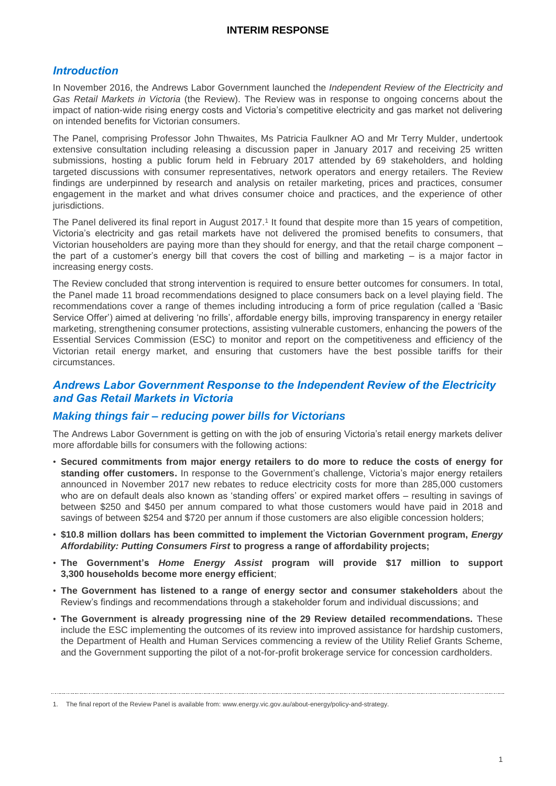#### *Introduction*

In November 2016, the Andrews Labor Government launched the *Independent Review of the Electricity and Gas Retail Markets in Victoria* (the Review). The Review was in response to ongoing concerns about the impact of nation-wide rising energy costs and Victoria's competitive electricity and gas market not delivering on intended benefits for Victorian consumers.

The Panel, comprising Professor John Thwaites, Ms Patricia Faulkner AO and Mr Terry Mulder, undertook extensive consultation including releasing a discussion paper in January 2017 and receiving 25 written submissions, hosting a public forum held in February 2017 attended by 69 stakeholders, and holding targeted discussions with consumer representatives, network operators and energy retailers. The Review findings are underpinned by research and analysis on retailer marketing, prices and practices, consumer engagement in the market and what drives consumer choice and practices, and the experience of other jurisdictions.

The Panel delivered its final report in August 2017.<sup>1</sup> It found that despite more than 15 years of competition, Victoria's electricity and gas retail markets have not delivered the promised benefits to consumers, that Victorian householders are paying more than they should for energy, and that the retail charge component – the part of a customer's energy bill that covers the cost of billing and marketing – is a major factor in increasing energy costs.

The Review concluded that strong intervention is required to ensure better outcomes for consumers. In total, the Panel made 11 broad recommendations designed to place consumers back on a level playing field. The recommendations cover a range of themes including introducing a form of price regulation (called a 'Basic Service Offer') aimed at delivering 'no frills', affordable energy bills, improving transparency in energy retailer marketing, strengthening consumer protections, assisting vulnerable customers, enhancing the powers of the Essential Services Commission (ESC) to monitor and report on the competitiveness and efficiency of the Victorian retail energy market, and ensuring that customers have the best possible tariffs for their circumstances.

#### *Andrews Labor Government Response to the Independent Review of the Electricity and Gas Retail Markets in Victoria*

#### *Making things fair – reducing power bills for Victorians*

The Andrews Labor Government is getting on with the job of ensuring Victoria's retail energy markets deliver more affordable bills for consumers with the following actions:

- **Secured commitments from major energy retailers to do more to reduce the costs of energy for standing offer customers.** In response to the Government's challenge, Victoria's major energy retailers announced in November 2017 new rebates to reduce electricity costs for more than 285,000 customers who are on default deals also known as 'standing offers' or expired market offers – resulting in savings of between \$250 and \$450 per annum compared to what those customers would have paid in 2018 and savings of between \$254 and \$720 per annum if those customers are also eligible concession holders;
- **\$10.8 million dollars has been committed to implement the Victorian Government program,** *Energy Affordability: Putting Consumers First* **to progress a range of affordability projects;**
- **The Government's** *Home Energy Assist* **program will provide \$17 million to support 3,300 households become more energy efficient**;
- **The Government has listened to a range of energy sector and consumer stakeholders** about the Review's findings and recommendations through a stakeholder forum and individual discussions; and
- **The Government is already progressing nine of the 29 Review detailed recommendations.** These include the ESC implementing the outcomes of its review into improved assistance for hardship customers, the Department of Health and Human Services commencing a review of the Utility Relief Grants Scheme, and the Government supporting the pilot of a not-for-profit brokerage service for concession cardholders.

<sup>1.</sup> The final report of the Review Panel is available from: www.energy.vic.gov.au/about-energy/policy-and-strategy.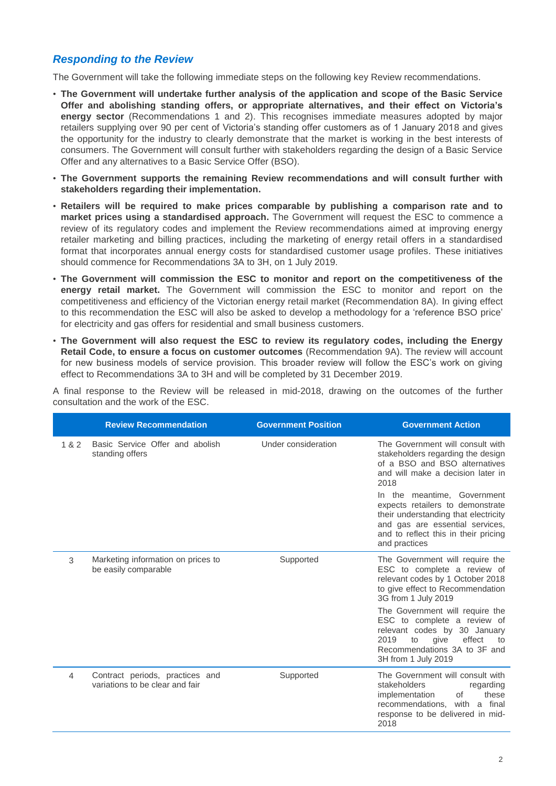#### *Responding to the Review*

The Government will take the following immediate steps on the following key Review recommendations.

- **The Government will undertake further analysis of the application and scope of the Basic Service Offer and abolishing standing offers, or appropriate alternatives, and their effect on Victoria's energy sector** (Recommendations 1 and 2). This recognises immediate measures adopted by major retailers supplying over 90 per cent of Victoria's standing offer customers as of 1 January 2018 and gives the opportunity for the industry to clearly demonstrate that the market is working in the best interests of consumers. The Government will consult further with stakeholders regarding the design of a Basic Service Offer and any alternatives to a Basic Service Offer (BSO).
- **The Government supports the remaining Review recommendations and will consult further with stakeholders regarding their implementation.**
- **Retailers will be required to make prices comparable by publishing a comparison rate and to market prices using a standardised approach.** The Government will request the ESC to commence a review of its regulatory codes and implement the Review recommendations aimed at improving energy retailer marketing and billing practices, including the marketing of energy retail offers in a standardised format that incorporates annual energy costs for standardised customer usage profiles. These initiatives should commence for Recommendations 3A to 3H, on 1 July 2019.
- **The Government will commission the ESC to monitor and report on the competitiveness of the energy retail market.** The Government will commission the ESC to monitor and report on the competitiveness and efficiency of the Victorian energy retail market (Recommendation 8A). In giving effect to this recommendation the ESC will also be asked to develop a methodology for a 'reference BSO price' for electricity and gas offers for residential and small business customers.
- **The Government will also request the ESC to review its regulatory codes, including the Energy Retail Code, to ensure a focus on customer outcomes** (Recommendation 9A). The review will account for new business models of service provision. This broader review will follow the ESC's work on giving effect to Recommendations 3A to 3H and will be completed by 31 December 2019.

A final response to the Review will be released in mid-2018, drawing on the outcomes of the further consultation and the work of the ESC.

|       | <b>Review Recommendation</b>                                       | <b>Government Position</b> | <b>Government Action</b>                                                                                                                                                                            |
|-------|--------------------------------------------------------------------|----------------------------|-----------------------------------------------------------------------------------------------------------------------------------------------------------------------------------------------------|
| 1 & 2 | Basic Service Offer and abolish<br>standing offers                 | Under consideration        | The Government will consult with<br>stakeholders regarding the design<br>of a BSO and BSO alternatives<br>and will make a decision later in<br>2018                                                 |
|       |                                                                    |                            | In the meantime, Government<br>expects retailers to demonstrate<br>their understanding that electricity<br>and gas are essential services,<br>and to reflect this in their pricing<br>and practices |
| 3     | Marketing information on prices to<br>be easily comparable         | Supported                  | The Government will require the<br>ESC to complete a review of<br>relevant codes by 1 October 2018<br>to give effect to Recommendation<br>3G from 1 July 2019                                       |
|       |                                                                    |                            | The Government will require the<br>ESC to complete a review of<br>relevant codes by 30 January<br>2019<br>effect<br>to<br>give<br>to<br>Recommendations 3A to 3F and<br>3H from 1 July 2019         |
| 4     | Contract periods, practices and<br>variations to be clear and fair | Supported                  | The Government will consult with<br>stakeholders<br>regarding<br>of<br>implementation<br>these<br>recommendations, with a final<br>response to be delivered in mid-<br>2018                         |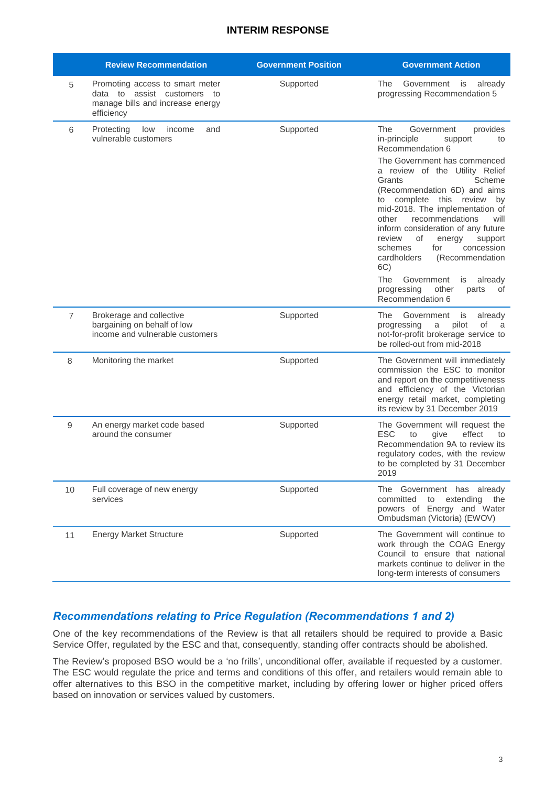|                | <b>Review Recommendation</b>                                                                                     | <b>Government Position</b> | <b>Government Action</b>                                                                                                                                                                                                                                                                                                                                                                                                                                                                                                                                              |
|----------------|------------------------------------------------------------------------------------------------------------------|----------------------------|-----------------------------------------------------------------------------------------------------------------------------------------------------------------------------------------------------------------------------------------------------------------------------------------------------------------------------------------------------------------------------------------------------------------------------------------------------------------------------------------------------------------------------------------------------------------------|
| 5              | Promoting access to smart meter<br>data to assist customers to<br>manage bills and increase energy<br>efficiency | Supported                  | Government<br>The<br>is already<br>progressing Recommendation 5                                                                                                                                                                                                                                                                                                                                                                                                                                                                                                       |
| 6              | Protecting<br>low<br>income<br>and<br>vulnerable customers                                                       | Supported                  | The<br>Government<br>provides<br>in-principle<br>support<br>to<br>Recommendation 6<br>The Government has commenced<br>a review of the Utility Relief<br>Grants<br>Scheme<br>(Recommendation 6D) and aims<br>to complete this review<br>by<br>mid-2018. The implementation of<br>other<br>recommendations<br>will<br>inform consideration of any future<br>review<br>οf<br>energy<br>support<br>schemes<br>for<br>concession<br>cardholders<br>(Recommendation<br>6C)<br>The<br>Government<br>is<br>already<br>other<br>progressing<br>parts<br>οf<br>Recommendation 6 |
| $\overline{7}$ | Brokerage and collective<br>bargaining on behalf of low<br>income and vulnerable customers                       | Supported                  | The<br>Government<br>already<br>is<br>of<br>progressing<br>pilot<br>a<br>- a<br>not-for-profit brokerage service to<br>be rolled-out from mid-2018                                                                                                                                                                                                                                                                                                                                                                                                                    |
| 8              | Monitoring the market                                                                                            | Supported                  | The Government will immediately<br>commission the ESC to monitor<br>and report on the competitiveness<br>and efficiency of the Victorian<br>energy retail market, completing<br>its review by 31 December 2019                                                                                                                                                                                                                                                                                                                                                        |
| 9              | An energy market code based<br>around the consumer                                                               | Supported                  | The Government will request the<br><b>ESC</b><br>effect<br>to<br>give<br>to<br>Recommendation 9A to review its<br>regulatory codes, with the review<br>to be completed by 31 December<br>2019                                                                                                                                                                                                                                                                                                                                                                         |
| 10             | Full coverage of new energy<br>services                                                                          | Supported                  | The Government has already<br>committed<br>extending<br>to<br>the<br>powers of Energy and Water<br>Ombudsman (Victoria) (EWOV)                                                                                                                                                                                                                                                                                                                                                                                                                                        |
| 11             | <b>Energy Market Structure</b>                                                                                   | Supported                  | The Government will continue to<br>work through the COAG Energy<br>Council to ensure that national<br>markets continue to deliver in the<br>long-term interests of consumers                                                                                                                                                                                                                                                                                                                                                                                          |

#### *Recommendations relating to Price Regulation (Recommendations 1 and 2)*

One of the key recommendations of the Review is that all retailers should be required to provide a Basic Service Offer, regulated by the ESC and that, consequently, standing offer contracts should be abolished.

The Review's proposed BSO would be a 'no frills', unconditional offer, available if requested by a customer. The ESC would regulate the price and terms and conditions of this offer, and retailers would remain able to offer alternatives to this BSO in the competitive market, including by offering lower or higher priced offers based on innovation or services valued by customers.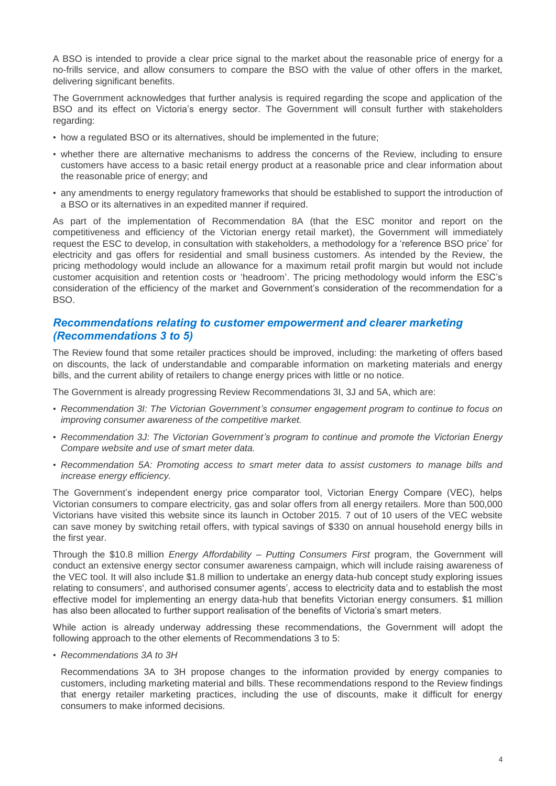A BSO is intended to provide a clear price signal to the market about the reasonable price of energy for a no-frills service, and allow consumers to compare the BSO with the value of other offers in the market, delivering significant benefits.

The Government acknowledges that further analysis is required regarding the scope and application of the BSO and its effect on Victoria's energy sector. The Government will consult further with stakeholders regarding:

- how a regulated BSO or its alternatives, should be implemented in the future;
- whether there are alternative mechanisms to address the concerns of the Review, including to ensure customers have access to a basic retail energy product at a reasonable price and clear information about the reasonable price of energy; and
- any amendments to energy regulatory frameworks that should be established to support the introduction of a BSO or its alternatives in an expedited manner if required.

As part of the implementation of Recommendation 8A (that the ESC monitor and report on the competitiveness and efficiency of the Victorian energy retail market), the Government will immediately request the ESC to develop, in consultation with stakeholders, a methodology for a 'reference BSO price' for electricity and gas offers for residential and small business customers. As intended by the Review, the pricing methodology would include an allowance for a maximum retail profit margin but would not include customer acquisition and retention costs or 'headroom'. The pricing methodology would inform the ESC's consideration of the efficiency of the market and Government's consideration of the recommendation for a BSO.

#### *Recommendations relating to customer empowerment and clearer marketing (Recommendations 3 to 5)*

The Review found that some retailer practices should be improved, including: the marketing of offers based on discounts, the lack of understandable and comparable information on marketing materials and energy bills, and the current ability of retailers to change energy prices with little or no notice.

The Government is already progressing Review Recommendations 3I, 3J and 5A, which are:

- *Recommendation 3I: The Victorian Government's consumer engagement program to continue to focus on improving consumer awareness of the competitive market.*
- *Recommendation 3J: The Victorian Government's program to continue and promote the Victorian Energy Compare website and use of smart meter data.*
- *Recommendation 5A: Promoting access to smart meter data to assist customers to manage bills and increase energy efficiency.*

The Government's independent energy price comparator tool, Victorian Energy Compare (VEC), helps Victorian consumers to compare electricity, gas and solar offers from all energy retailers. More than 500,000 Victorians have visited this website since its launch in October 2015. 7 out of 10 users of the VEC website can save money by switching retail offers, with typical savings of \$330 on annual household energy bills in the first year.

Through the \$10.8 million *Energy Affordability – Putting Consumers First* program, the Government will conduct an extensive energy sector consumer awareness campaign, which will include raising awareness of the VEC tool. It will also include \$1.8 million to undertake an energy data-hub concept study exploring issues relating to consumers', and authorised consumer agents', access to electricity data and to establish the most effective model for implementing an energy data-hub that benefits Victorian energy consumers. \$1 million has also been allocated to further support realisation of the benefits of Victoria's smart meters.

While action is already underway addressing these recommendations, the Government will adopt the following approach to the other elements of Recommendations 3 to 5:

• *Recommendations 3A to 3H*

Recommendations 3A to 3H propose changes to the information provided by energy companies to customers, including marketing material and bills. These recommendations respond to the Review findings that energy retailer marketing practices, including the use of discounts, make it difficult for energy consumers to make informed decisions.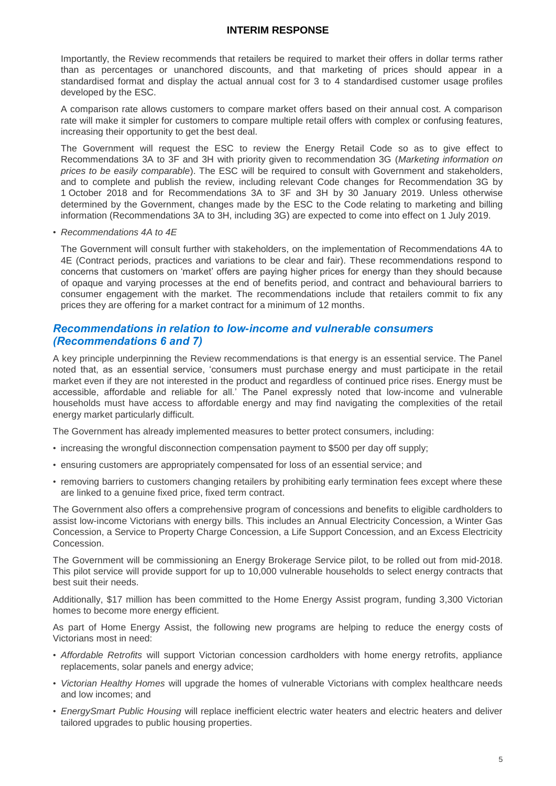Importantly, the Review recommends that retailers be required to market their offers in dollar terms rather than as percentages or unanchored discounts, and that marketing of prices should appear in a standardised format and display the actual annual cost for 3 to 4 standardised customer usage profiles developed by the ESC.

A comparison rate allows customers to compare market offers based on their annual cost. A comparison rate will make it simpler for customers to compare multiple retail offers with complex or confusing features, increasing their opportunity to get the best deal.

The Government will request the ESC to review the Energy Retail Code so as to give effect to Recommendations 3A to 3F and 3H with priority given to recommendation 3G (*Marketing information on prices to be easily comparable*). The ESC will be required to consult with Government and stakeholders, and to complete and publish the review, including relevant Code changes for Recommendation 3G by 1 October 2018 and for Recommendations 3A to 3F and 3H by 30 January 2019. Unless otherwise determined by the Government, changes made by the ESC to the Code relating to marketing and billing information (Recommendations 3A to 3H, including 3G) are expected to come into effect on 1 July 2019.

• *Recommendations 4A to 4E*

The Government will consult further with stakeholders, on the implementation of Recommendations 4A to 4E (Contract periods, practices and variations to be clear and fair). These recommendations respond to concerns that customers on 'market' offers are paying higher prices for energy than they should because of opaque and varying processes at the end of benefits period, and contract and behavioural barriers to consumer engagement with the market. The recommendations include that retailers commit to fix any prices they are offering for a market contract for a minimum of 12 months.

#### *Recommendations in relation to low-income and vulnerable consumers (Recommendations 6 and 7)*

A key principle underpinning the Review recommendations is that energy is an essential service. The Panel noted that, as an essential service, 'consumers must purchase energy and must participate in the retail market even if they are not interested in the product and regardless of continued price rises. Energy must be accessible, affordable and reliable for all.' The Panel expressly noted that low-income and vulnerable households must have access to affordable energy and may find navigating the complexities of the retail energy market particularly difficult.

The Government has already implemented measures to better protect consumers, including:

- increasing the wrongful disconnection compensation payment to \$500 per day off supply;
- ensuring customers are appropriately compensated for loss of an essential service; and
- removing barriers to customers changing retailers by prohibiting early termination fees except where these are linked to a genuine fixed price, fixed term contract.

The Government also offers a comprehensive program of concessions and benefits to eligible cardholders to assist low-income Victorians with energy bills. This includes an Annual Electricity Concession, a Winter Gas Concession, a Service to Property Charge Concession, a Life Support Concession, and an Excess Electricity Concession.

The Government will be commissioning an Energy Brokerage Service pilot, to be rolled out from mid-2018. This pilot service will provide support for up to 10,000 vulnerable households to select energy contracts that best suit their needs.

Additionally, \$17 million has been committed to the Home Energy Assist program, funding 3,300 Victorian homes to become more energy efficient.

As part of Home Energy Assist, the following new programs are helping to reduce the energy costs of Victorians most in need:

- *Affordable Retrofits* will support Victorian concession cardholders with home energy retrofits, appliance replacements, solar panels and energy advice;
- *Victorian Healthy Homes* will upgrade the homes of vulnerable Victorians with complex healthcare needs and low incomes; and
- *EnergySmart Public Housing* will replace inefficient electric water heaters and electric heaters and deliver tailored upgrades to public housing properties.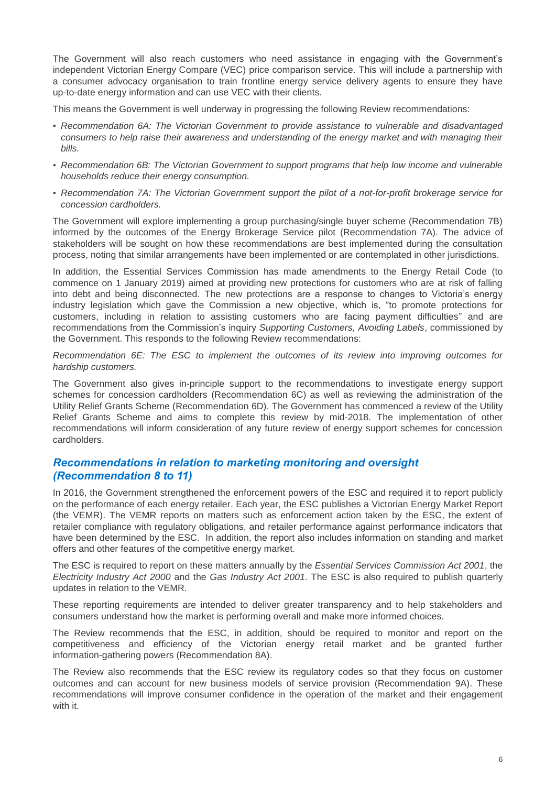The Government will also reach customers who need assistance in engaging with the Government's independent Victorian Energy Compare (VEC) price comparison service. This will include a partnership with a consumer advocacy organisation to train frontline energy service delivery agents to ensure they have up-to-date energy information and can use VEC with their clients.

This means the Government is well underway in progressing the following Review recommendations:

- *Recommendation 6A: The Victorian Government to provide assistance to vulnerable and disadvantaged consumers to help raise their awareness and understanding of the energy market and with managing their bills.*
- *Recommendation 6B: The Victorian Government to support programs that help low income and vulnerable households reduce their energy consumption.*
- *Recommendation 7A: The Victorian Government support the pilot of a not-for-profit brokerage service for concession cardholders.*

The Government will explore implementing a group purchasing/single buyer scheme (Recommendation 7B) informed by the outcomes of the Energy Brokerage Service pilot (Recommendation 7A). The advice of stakeholders will be sought on how these recommendations are best implemented during the consultation process, noting that similar arrangements have been implemented or are contemplated in other jurisdictions.

In addition, the Essential Services Commission has made amendments to the Energy Retail Code (to commence on 1 January 2019) aimed at providing new protections for customers who are at risk of falling into debt and being disconnected. The new protections are a response to changes to Victoria's energy industry legislation which gave the Commission a new objective, which is, "to promote protections for customers, including in relation to assisting customers who are facing payment difficulties" and are recommendations from the Commission's inquiry *Supporting Customers, Avoiding Labels*, commissioned by the Government. This responds to the following Review recommendations:

*Recommendation 6E: The ESC to implement the outcomes of its review into improving outcomes for hardship customers.* 

The Government also gives in-principle support to the recommendations to investigate energy support schemes for concession cardholders (Recommendation 6C) as well as reviewing the administration of the Utility Relief Grants Scheme (Recommendation 6D). The Government has commenced a review of the Utility Relief Grants Scheme and aims to complete this review by mid-2018. The implementation of other recommendations will inform consideration of any future review of energy support schemes for concession cardholders.

#### *Recommendations in relation to marketing monitoring and oversight (Recommendation 8 to 11)*

In 2016, the Government strengthened the enforcement powers of the ESC and required it to report publicly on the performance of each energy retailer. Each year, the ESC publishes a Victorian Energy Market Report (the VEMR). The VEMR reports on matters such as enforcement action taken by the ESC, the extent of retailer compliance with regulatory obligations, and retailer performance against performance indicators that have been determined by the ESC. In addition, the report also includes information on standing and market offers and other features of the competitive energy market.

The ESC is required to report on these matters annually by the *Essential Services Commission Act 2001*, the *Electricity Industry Act 2000* and the *Gas Industry Act 2001*. The ESC is also required to publish quarterly updates in relation to the VEMR.

These reporting requirements are intended to deliver greater transparency and to help stakeholders and consumers understand how the market is performing overall and make more informed choices.

The Review recommends that the ESC, in addition, should be required to monitor and report on the competitiveness and efficiency of the Victorian energy retail market and be granted further information-gathering powers (Recommendation 8A).

The Review also recommends that the ESC review its regulatory codes so that they focus on customer outcomes and can account for new business models of service provision (Recommendation 9A). These recommendations will improve consumer confidence in the operation of the market and their engagement with it.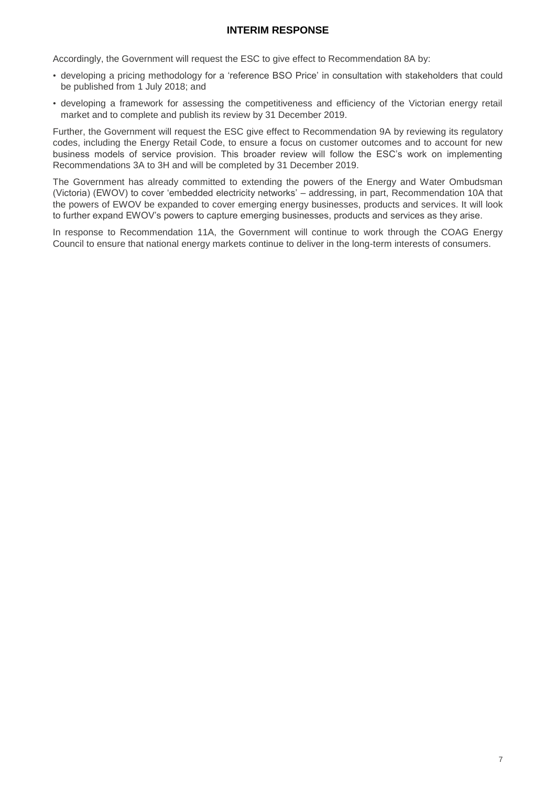Accordingly, the Government will request the ESC to give effect to Recommendation 8A by:

- developing a pricing methodology for a 'reference BSO Price' in consultation with stakeholders that could be published from 1 July 2018; and
- developing a framework for assessing the competitiveness and efficiency of the Victorian energy retail market and to complete and publish its review by 31 December 2019.

Further, the Government will request the ESC give effect to Recommendation 9A by reviewing its regulatory codes, including the Energy Retail Code, to ensure a focus on customer outcomes and to account for new business models of service provision. This broader review will follow the ESC's work on implementing Recommendations 3A to 3H and will be completed by 31 December 2019.

The Government has already committed to extending the powers of the Energy and Water Ombudsman (Victoria) (EWOV) to cover 'embedded electricity networks' – addressing, in part, Recommendation 10A that the powers of EWOV be expanded to cover emerging energy businesses, products and services. It will look to further expand EWOV's powers to capture emerging businesses, products and services as they arise.

In response to Recommendation 11A, the Government will continue to work through the COAG Energy Council to ensure that national energy markets continue to deliver in the long-term interests of consumers.